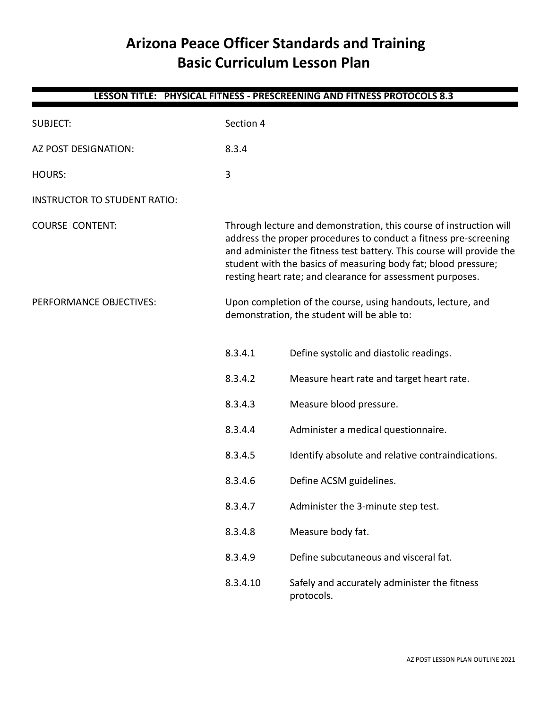# **Arizona Peace Officer Standards and Training Basic Curriculum Lesson Plan**

| LESSON TITLE: PHYSICAL FITNESS - PRESCREENING AND FITNESS PROTOCOLS 8.3 |           |                                                                                                                                                                                                                                                                                                                                                 |  |
|-------------------------------------------------------------------------|-----------|-------------------------------------------------------------------------------------------------------------------------------------------------------------------------------------------------------------------------------------------------------------------------------------------------------------------------------------------------|--|
| <b>SUBJECT:</b>                                                         | Section 4 |                                                                                                                                                                                                                                                                                                                                                 |  |
| AZ POST DESIGNATION:                                                    | 8.3.4     |                                                                                                                                                                                                                                                                                                                                                 |  |
| <b>HOURS:</b>                                                           | 3         |                                                                                                                                                                                                                                                                                                                                                 |  |
| <b>INSTRUCTOR TO STUDENT RATIO:</b>                                     |           |                                                                                                                                                                                                                                                                                                                                                 |  |
| <b>COURSE CONTENT:</b>                                                  |           | Through lecture and demonstration, this course of instruction will<br>address the proper procedures to conduct a fitness pre-screening<br>and administer the fitness test battery. This course will provide the<br>student with the basics of measuring body fat; blood pressure;<br>resting heart rate; and clearance for assessment purposes. |  |
| PERFORMANCE OBJECTIVES:                                                 |           | Upon completion of the course, using handouts, lecture, and<br>demonstration, the student will be able to:                                                                                                                                                                                                                                      |  |
|                                                                         | 8.3.4.1   | Define systolic and diastolic readings.                                                                                                                                                                                                                                                                                                         |  |
|                                                                         | 8.3.4.2   | Measure heart rate and target heart rate.                                                                                                                                                                                                                                                                                                       |  |
|                                                                         | 8.3.4.3   | Measure blood pressure.                                                                                                                                                                                                                                                                                                                         |  |
|                                                                         | 8.3.4.4   | Administer a medical questionnaire.                                                                                                                                                                                                                                                                                                             |  |
|                                                                         | 8.3.4.5   | Identify absolute and relative contraindications.                                                                                                                                                                                                                                                                                               |  |
|                                                                         | 8.3.4.6   | Define ACSM guidelines.                                                                                                                                                                                                                                                                                                                         |  |
|                                                                         | 8.3.4.7   | Administer the 3-minute step test.                                                                                                                                                                                                                                                                                                              |  |
|                                                                         | 8.3.4.8   | Measure body fat.                                                                                                                                                                                                                                                                                                                               |  |
|                                                                         | 8.3.4.9   | Define subcutaneous and visceral fat.                                                                                                                                                                                                                                                                                                           |  |
|                                                                         | 8.3.4.10  | Safely and accurately administer the fitness<br>protocols.                                                                                                                                                                                                                                                                                      |  |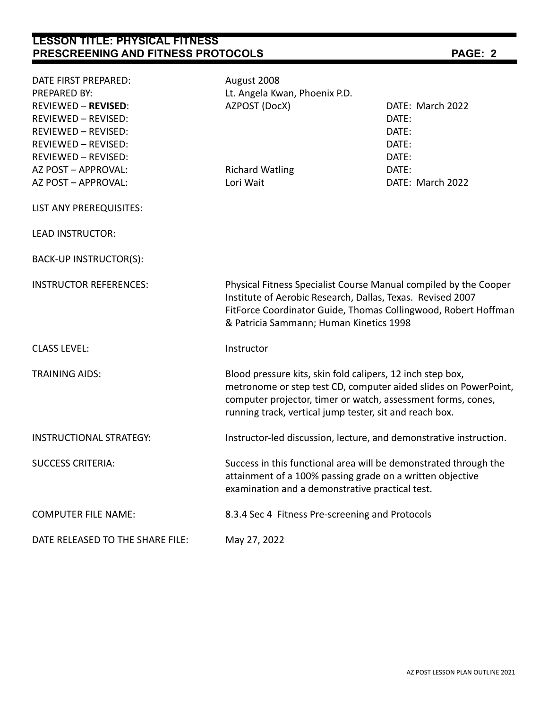# **LESSON TITLE: PHYSICAL FITNESS PRESCREENING AND FITNESS PROTOCOLS PAGE: 2**

| DATE FIRST PREPARED:             | August 2008                                                                                                                                                                                                                                              |                  |  |
|----------------------------------|----------------------------------------------------------------------------------------------------------------------------------------------------------------------------------------------------------------------------------------------------------|------------------|--|
| PREPARED BY:                     | Lt. Angela Kwan, Phoenix P.D.                                                                                                                                                                                                                            |                  |  |
| <b>REVIEWED - REVISED:</b>       | AZPOST (DocX)                                                                                                                                                                                                                                            | DATE: March 2022 |  |
| REVIEWED - REVISED:              |                                                                                                                                                                                                                                                          | DATE:            |  |
| <b>REVIEWED - REVISED:</b>       |                                                                                                                                                                                                                                                          | DATE:            |  |
| <b>REVIEWED - REVISED:</b>       |                                                                                                                                                                                                                                                          | DATE:            |  |
| REVIEWED - REVISED:              |                                                                                                                                                                                                                                                          | DATE:            |  |
| AZ POST - APPROVAL:              | <b>Richard Watling</b>                                                                                                                                                                                                                                   | DATE:            |  |
| AZ POST - APPROVAL:              | Lori Wait                                                                                                                                                                                                                                                | DATE: March 2022 |  |
| LIST ANY PREREQUISITES:          |                                                                                                                                                                                                                                                          |                  |  |
| <b>LEAD INSTRUCTOR:</b>          |                                                                                                                                                                                                                                                          |                  |  |
| BACK-UP INSTRUCTOR(S):           |                                                                                                                                                                                                                                                          |                  |  |
| <b>INSTRUCTOR REFERENCES:</b>    | Physical Fitness Specialist Course Manual compiled by the Cooper<br>Institute of Aerobic Research, Dallas, Texas. Revised 2007<br>FitForce Coordinator Guide, Thomas Collingwood, Robert Hoffman<br>& Patricia Sammann; Human Kinetics 1998              |                  |  |
| <b>CLASS LEVEL:</b>              | Instructor                                                                                                                                                                                                                                               |                  |  |
| <b>TRAINING AIDS:</b>            | Blood pressure kits, skin fold calipers, 12 inch step box,<br>metronome or step test CD, computer aided slides on PowerPoint,<br>computer projector, timer or watch, assessment forms, cones,<br>running track, vertical jump tester, sit and reach box. |                  |  |
| <b>INSTRUCTIONAL STRATEGY:</b>   | Instructor-led discussion, lecture, and demonstrative instruction.                                                                                                                                                                                       |                  |  |
| <b>SUCCESS CRITERIA:</b>         | Success in this functional area will be demonstrated through the<br>attainment of a 100% passing grade on a written objective<br>examination and a demonstrative practical test.                                                                         |                  |  |
| <b>COMPUTER FILE NAME:</b>       | 8.3.4 Sec 4 Fitness Pre-screening and Protocols                                                                                                                                                                                                          |                  |  |
| DATE RELEASED TO THE SHARE FILE: | May 27, 2022                                                                                                                                                                                                                                             |                  |  |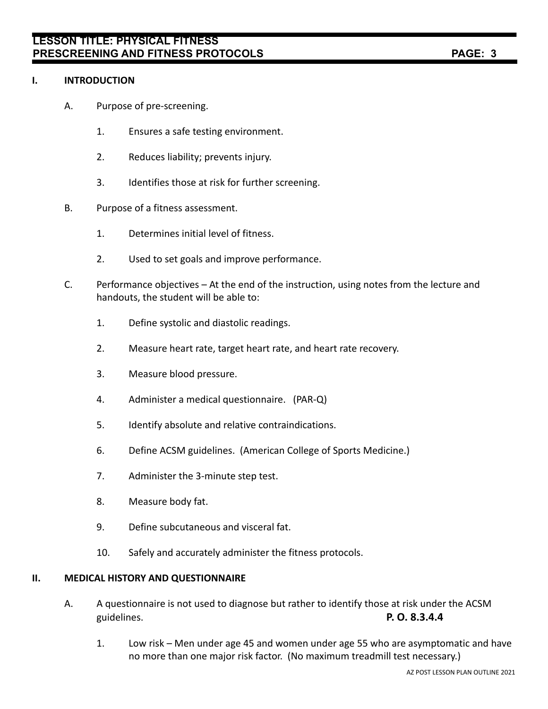# **I. INTRODUCTION**

- A. Purpose of pre-screening.
	- 1. Ensures a safe testing environment.
	- 2. Reduces liability; prevents injury.
	- 3. Identifies those at risk for further screening.
- B. Purpose of a fitness assessment.
	- 1. Determines initial level of fitness.
	- 2. Used to set goals and improve performance.
- C. Performance objectives At the end of the instruction, using notes from the lecture and handouts, the student will be able to:
	- 1. Define systolic and diastolic readings.
	- 2. Measure heart rate, target heart rate, and heart rate recovery.
	- 3. Measure blood pressure.
	- 4. Administer a medical questionnaire. (PAR-Q)
	- 5. Identify absolute and relative contraindications.
	- 6. Define ACSM guidelines. (American College of Sports Medicine.)
	- 7. Administer the 3-minute step test.
	- 8. Measure body fat.
	- 9. Define subcutaneous and visceral fat.
	- 10. Safely and accurately administer the fitness protocols.

### **II. MEDICAL HISTORY AND QUESTIONNAIRE**

- A. A questionnaire is not used to diagnose but rather to identify those at risk under the ACSM guidelines. **P. O. 8.3.4.4**
	- 1. Low risk Men under age 45 and women under age 55 who are asymptomatic and have no more than one major risk factor. (No maximum treadmill test necessary.)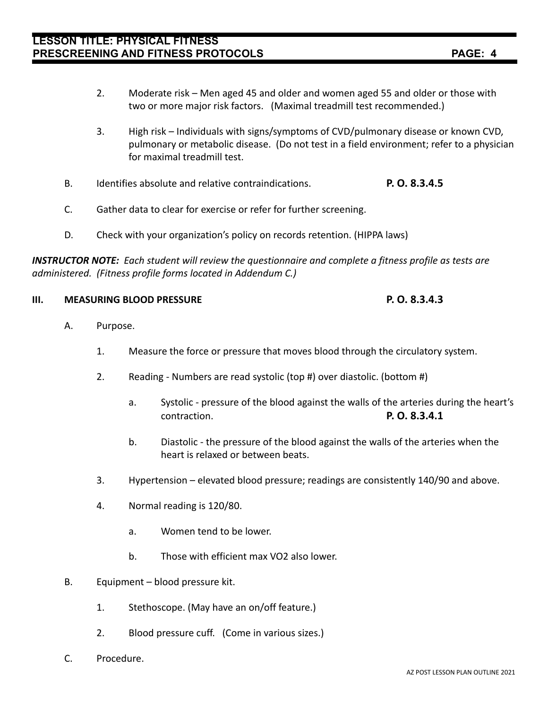- 2. Moderate risk Men aged 45 and older and women aged 55 and older or those with two or more major risk factors. (Maximal treadmill test recommended.)
- 3. High risk Individuals with signs/symptoms of CVD/pulmonary disease or known CVD, pulmonary or metabolic disease. (Do not test in a field environment; refer to a physician for maximal treadmill test.
- B. Identifies absolute and relative contraindications. **P. O. 8.3.4.5**
- C. Gather data to clear for exercise or refer for further screening.
- D. Check with your organization's policy on records retention. (HIPPA laws)

*INSTRUCTOR NOTE: Each student will review the questionnaire and complete a fitness profile as tests are administered. (Fitness profile forms located in Addendum C.)*

# **III. MEASURING BLOOD PRESSURE P. O. 8.3.4.3**

- A. Purpose.
	- 1. Measure the force or pressure that moves blood through the circulatory system.
	- 2. Reading Numbers are read systolic (top #) over diastolic. (bottom #)
		- a. Systolic pressure of the blood against the walls of the arteries during the heart's contraction. **P. O. 8.3.4.1**
		- b. Diastolic the pressure of the blood against the walls of the arteries when the heart is relaxed or between beats.
	- 3. Hypertension elevated blood pressure; readings are consistently 140/90 and above.
	- 4. Normal reading is 120/80.
		- a. Women tend to be lower.
		- b. Those with efficient max VO2 also lower.
- B. Equipment blood pressure kit.
	- 1. Stethoscope. (May have an on/off feature.)
	- 2. Blood pressure cuff. (Come in various sizes.)
- C. Procedure.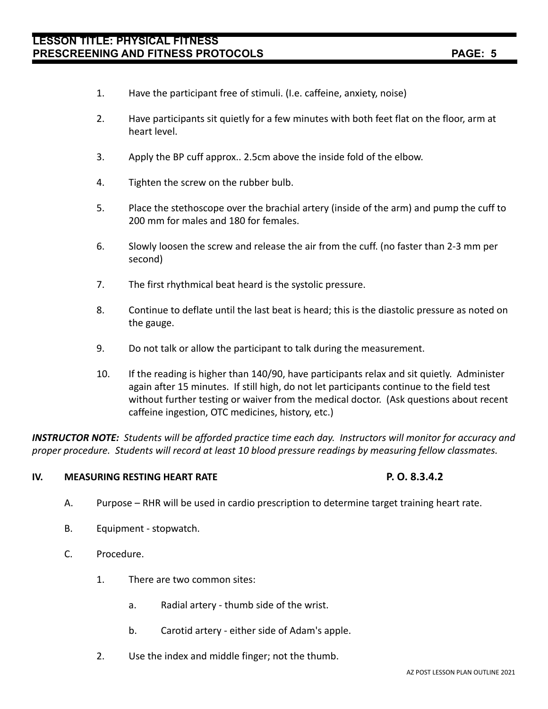# **LESSON TITLE: PHYSICAL FITNESS PRESCREENING AND FITNESS PROTOCOLS PAGE: 5**

- 1. Have the participant free of stimuli. (I.e. caffeine, anxiety, noise)
- 2. Have participants sit quietly for a few minutes with both feet flat on the floor, arm at heart level.
- 3. Apply the BP cuff approx.. 2.5cm above the inside fold of the elbow.
- 4. Tighten the screw on the rubber bulb.
- 5. Place the stethoscope over the brachial artery (inside of the arm) and pump the cuff to 200 mm for males and 180 for females.
- 6. Slowly loosen the screw and release the air from the cuff. (no faster than 2-3 mm per second)
- 7. The first rhythmical beat heard is the systolic pressure.
- 8. Continue to deflate until the last beat is heard; this is the diastolic pressure as noted on the gauge.
- 9. Do not talk or allow the participant to talk during the measurement.
- 10. If the reading is higher than 140/90, have participants relax and sit quietly. Administer again after 15 minutes. If still high, do not let participants continue to the field test without further testing or waiver from the medical doctor. (Ask questions about recent caffeine ingestion, OTC medicines, history, etc.)

*INSTRUCTOR NOTE: Students will be afforded practice time each day. Instructors will monitor for accuracy and proper procedure. Students will record at least 10 blood pressure readings by measuring fellow classmates.*

# **IV. MEASURING RESTING HEART RATE P. O. 8.3.4.2**

- A. Purpose RHR will be used in cardio prescription to determine target training heart rate.
- B. Equipment stopwatch.
- C. Procedure.
	- 1. There are two common sites:
		- a. Radial artery thumb side of the wrist.
		- b. Carotid artery either side of Adam's apple.
	- 2. Use the index and middle finger; not the thumb.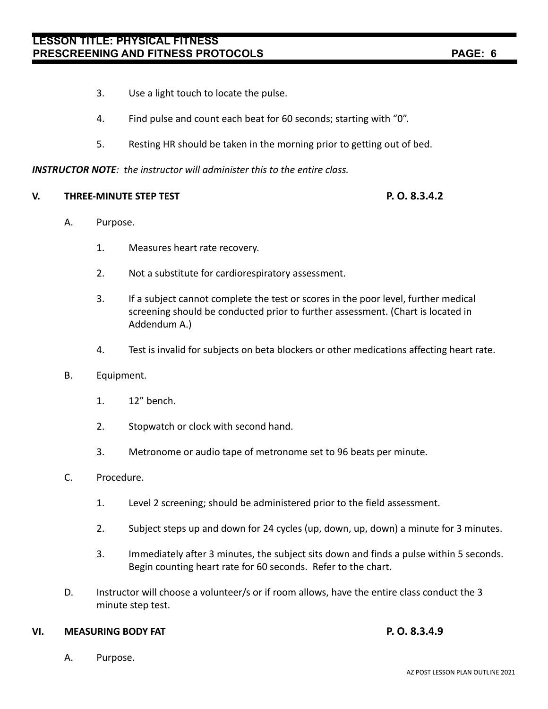- 3. Use a light touch to locate the pulse.
- 4. Find pulse and count each beat for 60 seconds; starting with "0".
- 5. Resting HR should be taken in the morning prior to getting out of bed.

# *INSTRUCTOR NOTE: the instructor will administer this to the entire class.*

### **V. THREE-MINUTE STEP TEST P. O. 8.3.4.2**

- A. Purpose.
	- 1. Measures heart rate recovery.
	- 2. Not a substitute for cardiorespiratory assessment.
	- 3. If a subject cannot complete the test or scores in the poor level, further medical screening should be conducted prior to further assessment. (Chart is located in Addendum A.)
	- 4. Test is invalid for subjects on beta blockers or other medications affecting heart rate.
- B. Equipment.
	- 1. 12" bench.
	- 2. Stopwatch or clock with second hand.
	- 3. Metronome or audio tape of metronome set to 96 beats per minute.
- C. Procedure.
	- 1. Level 2 screening; should be administered prior to the field assessment.
	- 2. Subject steps up and down for 24 cycles (up, down, up, down) a minute for 3 minutes.
	- 3. Immediately after 3 minutes, the subject sits down and finds a pulse within 5 seconds. Begin counting heart rate for 60 seconds. Refer to the chart.
- D. Instructor will choose a volunteer/s or if room allows, have the entire class conduct the 3 minute step test.

# **VI. MEASURING BODY FAT P. O. 8.3.4.9**

A. Purpose.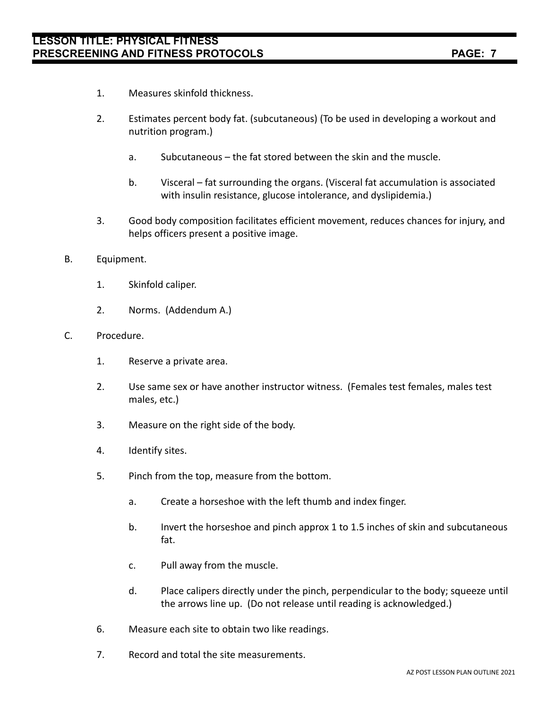- 1. Measures skinfold thickness.
- 2. Estimates percent body fat. (subcutaneous) (To be used in developing a workout and nutrition program.)
	- a. Subcutaneous the fat stored between the skin and the muscle.
	- b. Visceral fat surrounding the organs. (Visceral fat accumulation is associated with insulin resistance, glucose intolerance, and dyslipidemia.)
- 3. Good body composition facilitates efficient movement, reduces chances for injury, and helps officers present a positive image.
- B. Equipment.
	- 1. Skinfold caliper.
	- 2. Norms. (Addendum A.)
- C. Procedure.
	- 1. Reserve a private area.
	- 2. Use same sex or have another instructor witness. (Females test females, males test males, etc.)
	- 3. Measure on the right side of the body.
	- 4. Identify sites.
	- 5. Pinch from the top, measure from the bottom.
		- a. Create a horseshoe with the left thumb and index finger.
		- b. Invert the horseshoe and pinch approx 1 to 1.5 inches of skin and subcutaneous fat.
		- c. Pull away from the muscle.
		- d. Place calipers directly under the pinch, perpendicular to the body; squeeze until the arrows line up. (Do not release until reading is acknowledged.)
	- 6. Measure each site to obtain two like readings.
	- 7. Record and total the site measurements.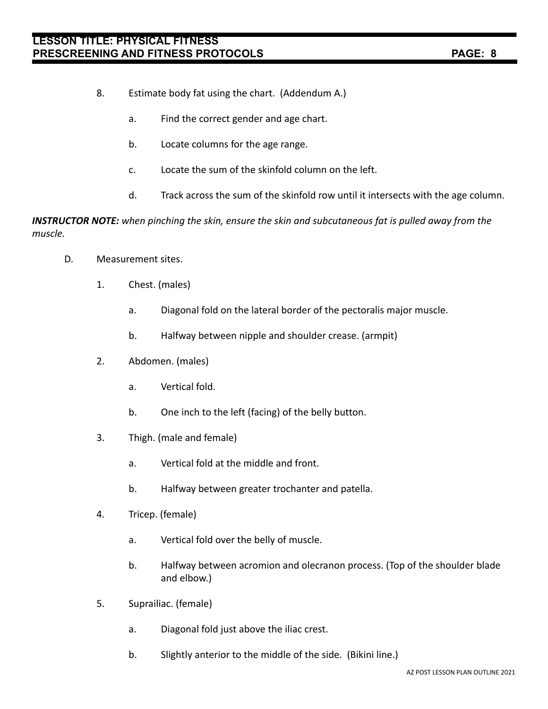- 8. Estimate body fat using the chart. (Addendum A.)
	- a. Find the correct gender and age chart.
	- b. Locate columns for the age range.
	- c. Locate the sum of the skinfold column on the left.
	- d. Track across the sum of the skinfold row until it intersects with the age column.

*INSTRUCTOR NOTE: when pinching the skin, ensure the skin and subcutaneous fat is pulled away from the muscle.*

- D. Measurement sites.
	- 1. Chest. (males)
		- a. Diagonal fold on the lateral border of the pectoralis major muscle.
		- b. Halfway between nipple and shoulder crease. (armpit)
	- 2. Abdomen. (males)
		- a. Vertical fold.
		- b. One inch to the left (facing) of the belly button.
	- 3. Thigh. (male and female)
		- a. Vertical fold at the middle and front.
		- b. Halfway between greater trochanter and patella.
	- 4. Tricep. (female)
		- a. Vertical fold over the belly of muscle.
		- b. Halfway between acromion and olecranon process. (Top of the shoulder blade and elbow.)
	- 5. Suprailiac. (female)
		- a. Diagonal fold just above the iliac crest.
		- b. Slightly anterior to the middle of the side. (Bikini line.)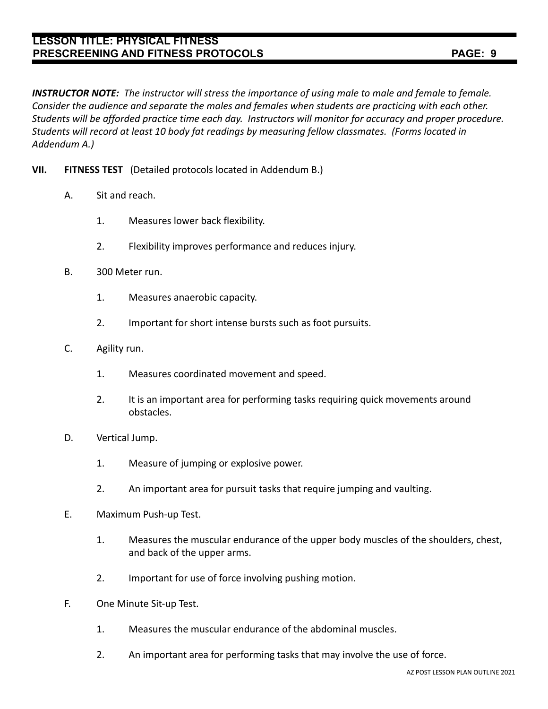# **LESSON TITLE: PHYSICAL FITNESS PRESCREENING AND FITNESS PROTOCOLS PAGE: 9**

- **VII. FITNESS TEST** (Detailed protocols located in Addendum B.)
	- A. Sit and reach.

*Addendum A.)*

- 1. Measures lower back flexibility.
- 2. Flexibility improves performance and reduces injury.

*Students will record at least 10 body fat readings by measuring fellow classmates. (Forms located in*

- B. 300 Meter run.
	- 1. Measures anaerobic capacity.
	- 2. Important for short intense bursts such as foot pursuits.
- C. Agility run.
	- 1. Measures coordinated movement and speed.
	- 2. It is an important area for performing tasks requiring quick movements around obstacles.
- D. Vertical Jump.
	- 1. Measure of jumping or explosive power.
	- 2. An important area for pursuit tasks that require jumping and vaulting.
- E. Maximum Push-up Test.
	- 1. Measures the muscular endurance of the upper body muscles of the shoulders, chest, and back of the upper arms.
	- 2. Important for use of force involving pushing motion.
- F. One Minute Sit-up Test.
	- 1. Measures the muscular endurance of the abdominal muscles.
	- 2. An important area for performing tasks that may involve the use of force.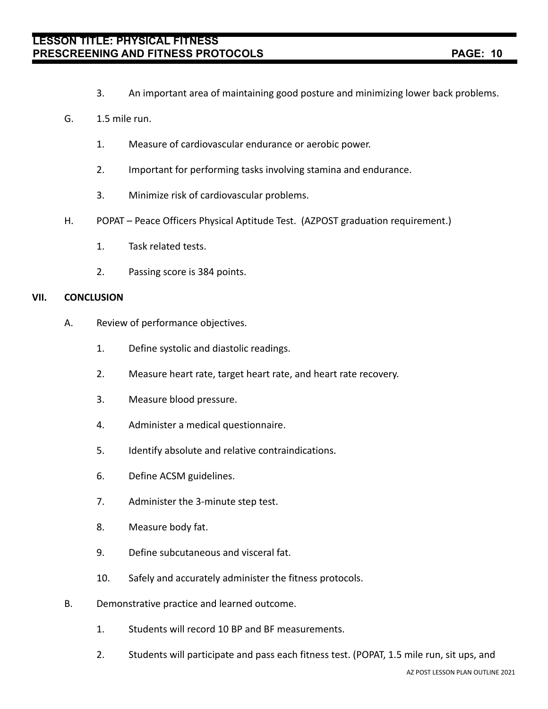- 3. An important area of maintaining good posture and minimizing lower back problems.
- G. 1.5 mile run.
	- 1. Measure of cardiovascular endurance or aerobic power.
	- 2. Important for performing tasks involving stamina and endurance.
	- 3. Minimize risk of cardiovascular problems.
- H. POPAT Peace Officers Physical Aptitude Test. (AZPOST graduation requirement.)
	- 1. Task related tests.
	- 2. Passing score is 384 points.

### **VII. CONCLUSION**

- A. Review of performance objectives.
	- 1. Define systolic and diastolic readings.
	- 2. Measure heart rate, target heart rate, and heart rate recovery.
	- 3. Measure blood pressure.
	- 4. Administer a medical questionnaire.
	- 5. Identify absolute and relative contraindications.
	- 6. Define ACSM guidelines.
	- 7. Administer the 3-minute step test.
	- 8. Measure body fat.
	- 9. Define subcutaneous and visceral fat.
	- 10. Safely and accurately administer the fitness protocols.
- B. Demonstrative practice and learned outcome.
	- 1. Students will record 10 BP and BF measurements.
	- 2. Students will participate and pass each fitness test. (POPAT, 1.5 mile run, sit ups, and